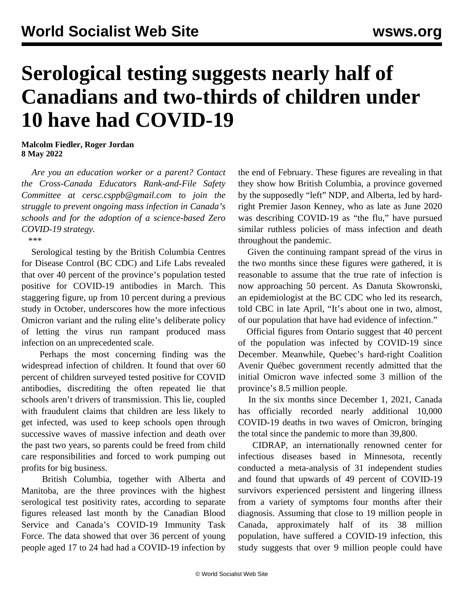## **Serological testing suggests nearly half of Canadians and two-thirds of children under 10 have had COVID-19**

**Malcolm Fiedler, Roger Jordan 8 May 2022**

 *Are you an education worker or a parent? Contact the Cross-Canada Educators Rank-and-File Safety Committee at cersc.csppb@gmail.com to join the struggle to prevent ongoing mass infection in Canada's schools and for the adoption of a science-based Zero COVID-19 strategy.*

\*\*\*

 Serological testing by the British Columbia Centres for Disease Control (BC CDC) and Life Labs revealed that over 40 percent of the province's population tested positive for COVID-19 antibodies in March. This staggering figure, up from 10 percent during a previous study in October, underscores how the more infectious Omicron variant and the ruling elite's deliberate policy of letting the virus run rampant produced mass infection on an unprecedented scale.

 Perhaps the most concerning finding was the widespread infection of children. It found that over 60 percent of children surveyed tested positive for COVID antibodies, discrediting the often repeated lie that schools aren't drivers of transmission. This lie, coupled with fraudulent claims that children are less likely to get infected, was used to keep schools open through successive waves of massive infection and death over the past two years, so parents could be freed from child care responsibilities and forced to work pumping out profits for big business.

 British Columbia, together with Alberta and Manitoba, are the three provinces with the highest serological test positivity rates, according to separate figures released last month by the Canadian Blood Service and Canada's COVID-19 Immunity Task Force. The data showed that over 36 percent of young people aged 17 to 24 had had a COVID-19 infection by the end of February. These figures are revealing in that they show how British Columbia, a province governed by the supposedly "left" NDP, and Alberta, led by hardright Premier Jason Kenney, who as late as June 2020 was describing COVID-19 as "the flu," have pursued similar ruthless policies of mass infection and death throughout the pandemic.

 Given the continuing rampant spread of the virus in the two months since these figures were gathered, it is reasonable to assume that the true rate of infection is now approaching 50 percent. As Danuta Skowronski, an epidemiologist at the BC CDC who led its research, told CBC in late April, "It's about one in two, almost, of our population that have had evidence of infection."

 Official figures from Ontario suggest that 40 percent of the population was infected by COVID-19 since December. Meanwhile, Quebec's hard-right Coalition Avenir Québec government recently admitted that the initial Omicron wave infected some 3 million of the province's 8.5 million people.

 In the six months since December 1, 2021, Canada has officially recorded nearly additional 10,000 COVID-19 deaths in two waves of Omicron, bringing the total since the pandemic to more than 39,800.

 CIDRAP, an internationally renowned center for infectious diseases based in Minnesota, recently conducted a meta-analysis of 31 independent studies and found that upwards of 49 percent of COVID-19 survivors experienced persistent and lingering illness from a variety of symptoms four months after their diagnosis. Assuming that close to 19 million people in Canada, approximately half of its 38 million population, have suffered a COVID-19 infection, this study suggests that over 9 million people could have